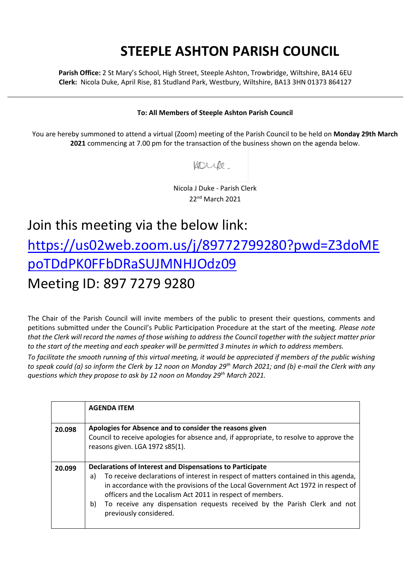## **STEEPLE ASHTON PARISH COUNCIL**

**Parish Office:** 2 St Mary's School, High Street, Steeple Ashton, Trowbridge, Wiltshire, BA14 6EU **Clerk:** Nicola Duke, April Rise, 81 Studland Park, Westbury, Wiltshire, BA13 3HN 01373 864127

## **To: All Members of Steeple Ashton Parish Council**

You are hereby summoned to attend a virtual (Zoom) meeting of the Parish Council to be held on **Monday 29th March 2021** commencing at 7.00 pm for the transaction of the business shown on the agenda below.

Voule

Nicola J Duke - Parish Clerk 22nd March 2021

## Join this meeting via the below link: [https://us02web.zoom.us/j/89772799280?pwd=Z3doME](https://us02web.zoom.us/j/89772799280?pwd=Z3doMEpoTDdPK0FFbDRaSUJMNHJOdz09) [poTDdPK0FFbDRaSUJMNHJOdz09](https://us02web.zoom.us/j/89772799280?pwd=Z3doMEpoTDdPK0FFbDRaSUJMNHJOdz09) Meeting ID: 897 7279 9280

The Chair of the Parish Council will invite members of the public to present their questions, comments and petitions submitted under the Council's Public Participation Procedure at the start of the meeting. *Please note that the Clerk will record the names of those wishing to address the Council together with the subject matter prior to the start of the meeting and each speaker will be permitted 3 minutes in which to address members.*

*To facilitate the smooth running of this virtual meeting, it would be appreciated if members of the public wishing to speak could (a) so inform the Clerk by 12 noon on Monday 29th March 2021; and (b) e-mail the Clerk with any questions which they propose to ask by 12 noon on Monday 29th March 2021.*

|        | <b>AGENDA ITEM</b>                                                                                                                                                                                                                                                                                                                                      |
|--------|---------------------------------------------------------------------------------------------------------------------------------------------------------------------------------------------------------------------------------------------------------------------------------------------------------------------------------------------------------|
| 20.098 | Apologies for Absence and to consider the reasons given<br>Council to receive apologies for absence and, if appropriate, to resolve to approve the<br>reasons given. LGA 1972 s85(1).                                                                                                                                                                   |
| 20.099 | Declarations of Interest and Dispensations to Participate                                                                                                                                                                                                                                                                                               |
|        | To receive declarations of interest in respect of matters contained in this agenda,<br>a)<br>in accordance with the provisions of the Local Government Act 1972 in respect of<br>officers and the Localism Act 2011 in respect of members.<br>To receive any dispensation requests received by the Parish Clerk and not<br>b)<br>previously considered. |